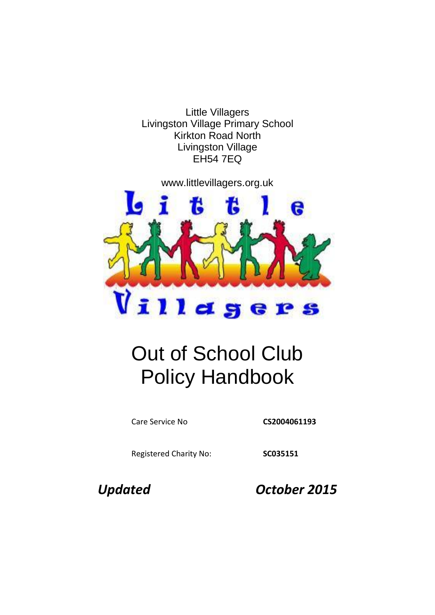Little Villagers Livingston Village Primary School Kirkton Road North Livingston Village EH54 7EQ

www.littlevillagers.org.uk



# Out of School Club Policy Handbook

Care Service No **CS2004061193**

Registered Charity No: **SC035151**

*Updated October 2015*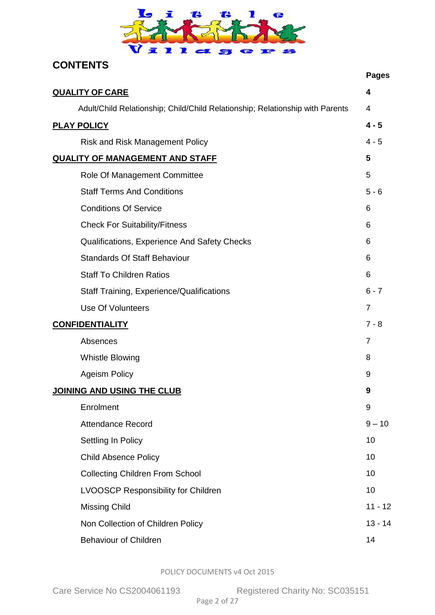

## **CONTENTS**

<span id="page-1-0"></span>

|                                                                               | <b>Pages</b>   |
|-------------------------------------------------------------------------------|----------------|
| <b>QUALITY OF CARE</b>                                                        | 4              |
| Adult/Child Relationship; Child/Child Relationship; Relationship with Parents | 4              |
| <b>PLAY POLICY</b>                                                            | $4 - 5$        |
| <b>Risk and Risk Management Policy</b>                                        | $4 - 5$        |
| <b>QUALITY OF MANAGEMENT AND STAFF</b>                                        | 5              |
| Role Of Management Committee                                                  | 5              |
| <b>Staff Terms And Conditions</b>                                             | $5 - 6$        |
| <b>Conditions Of Service</b>                                                  | 6              |
| <b>Check For Suitability/Fitness</b>                                          | 6              |
| Qualifications, Experience And Safety Checks                                  | 6              |
| <b>Standards Of Staff Behaviour</b>                                           | 6              |
| <b>Staff To Children Ratios</b>                                               | 6              |
| <b>Staff Training, Experience/Qualifications</b>                              | $6 - 7$        |
| <b>Use Of Volunteers</b>                                                      | $\overline{7}$ |
| <b>CONFIDENTIALITY</b>                                                        | $7 - 8$        |
| Absences                                                                      | 7              |
| <b>Whistle Blowing</b>                                                        | 8              |
| <b>Ageism Policy</b>                                                          | 9              |
| <b>JOINING AND USING THE CLUB</b>                                             | 9              |
| Enrolment                                                                     | 9              |
| <b>Attendance Record</b>                                                      | $9 - 10$       |
| Settling In Policy                                                            | 10             |
| <b>Child Absence Policy</b>                                                   | 10             |
| <b>Collecting Children From School</b>                                        | 10             |
| <b>LVOOSCP Responsibility for Children</b>                                    | 10             |
| <b>Missing Child</b>                                                          | $11 - 12$      |
| Non Collection of Children Policy                                             | $13 - 14$      |
| <b>Behaviour of Children</b>                                                  | 14             |

POLICY DOCUMENTS v4 Oct 2015

Care Service No CS2004061193 Registered Charity No: SC035151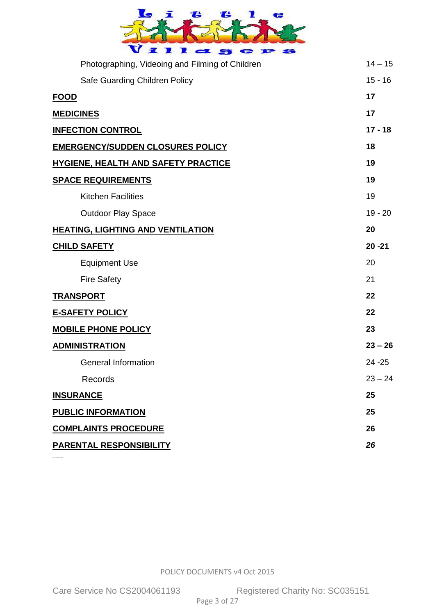| ī<br>飞<br>Ъ<br>G<br>宣<br>$2$<br>e               |           |
|-------------------------------------------------|-----------|
| Photographing, Videoing and Filming of Children | $14 - 15$ |
| Safe Guarding Children Policy                   | $15 - 16$ |
| <b>FOOD</b>                                     | 17        |
| <b>MEDICINES</b>                                | 17        |
| <b>INFECTION CONTROL</b>                        | $17 - 18$ |
| <b>EMERGENCY/SUDDEN CLOSURES POLICY</b>         | 18        |
| <b>HYGIENE, HEALTH AND SAFETY PRACTICE</b>      | 19        |
| <b>SPACE REQUIREMENTS</b>                       | 19        |
| <b>Kitchen Facilities</b>                       | 19        |
| <b>Outdoor Play Space</b>                       | $19 - 20$ |
| <b>HEATING, LIGHTING AND VENTILATION</b>        | 20        |
| <b>CHILD SAFETY</b>                             | $20 - 21$ |
| <b>Equipment Use</b>                            | 20        |
| <b>Fire Safety</b>                              | 21        |
| <b>TRANSPORT</b>                                | 22        |
| <b>E-SAFETY POLICY</b>                          | 22        |
| <b>MOBILE PHONE POLICY</b>                      | 23        |
| <b>ADMINISTRATION</b>                           | $23 - 26$ |
| <b>General Information</b>                      | $24 - 25$ |
| Records                                         | $23 - 24$ |
| <b>INSURANCE</b>                                | 25        |
| <b>PUBLIC INFORMATION</b>                       | 25        |
| <b>COMPLAINTS PROCEDURE</b>                     | 26        |
| <b>PARENTAL RESPONSIBILITY</b>                  | 26        |

ABULT/CHILD RELATIONSHIP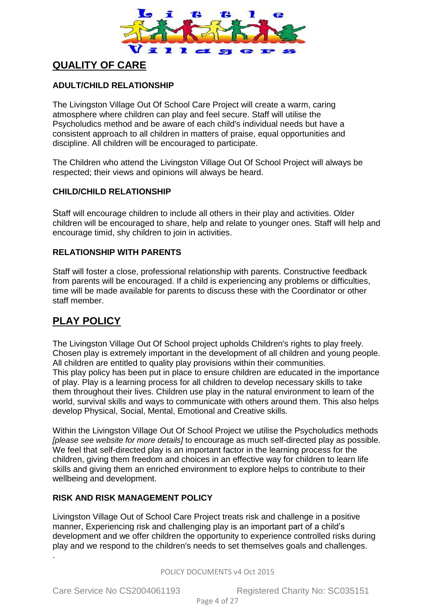

### **QUALITY OF CARE**

#### **ADULT/CHILD RELATIONSHIP**

The Livingston Village Out Of School Care Project will create a warm, caring atmosphere where children can play and feel secure. Staff will utilise the Psycholudics method and be aware of each child's individual needs but have a consistent approach to all children in matters of praise, equal opportunities and discipline. All children will be encouraged to participate.

The Children who attend the Livingston Village Out Of School Project will always be respected; their views and opinions will always be heard.

#### **CHILD/CHILD RELATIONSHIP**

Staff will encourage children to include all others in their play and activities. Older children will be encouraged to share, help and relate to younger ones. Staff will help and encourage timid, shy children to join in activities.

#### **RELATIONSHIP WITH PARENTS**

Staff will foster a close, professional relationship with parents. Constructive feedback from parents will be encouraged. If a child is experiencing any problems or difficulties, time will be made available for parents to discuss these with the Coordinator or other staff member.

### <span id="page-3-0"></span>**PLAY POLICY**

The Livingston Village Out Of School project upholds Children's rights to play freely. Chosen play is extremely important in the development of all children and young people. All children are entitled to quality play provisions within their communities. This play policy has been put in place to ensure children are educated in the importance of play. Play is a learning process for all children to develop necessary skills to take them throughout their lives. Children use play in the natural environment to learn of the world, survival skills and ways to communicate with others around them. This also helps develop Physical, Social, Mental, Emotional and Creative skills.

Within the Livingston Village Out Of School Project we utilise the Psycholudics methods *[please see website for more details]* to encourage as much self-directed play as possible. We feel that self-directed play is an important factor in the learning process for the children, giving them freedom and choices in an effective way for children to learn life skills and giving them an enriched environment to explore helps to contribute to their wellbeing and development.

#### **RISK AND RISK MANAGEMENT POLICY**

Livingston Village Out of School Care Project treats risk and challenge in a positive manner, Experiencing risk and challenging play is an important part of a child's development and we offer children the opportunity to experience controlled risks during play and we respond to the children's needs to set themselves goals and challenges. .

POLICY DOCUMENTS v4 Oct 2015

Care Service No CS2004061193 Registered Charity No: SC035151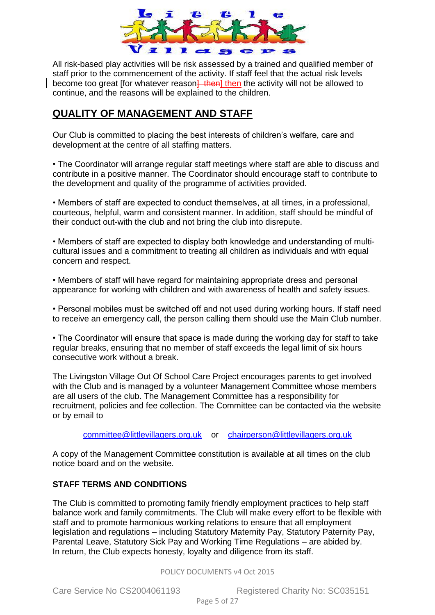

All risk-based play activities will be risk assessed by a trained and qualified member of staff prior to the commencement of the activity. If staff feel that the actual risk levels become too great [for whatever reason] then the activity will not be allowed to continue, and the reasons will be explained to the children.

### **QUALITY OF MANAGEMENT AND STAFF**

Our Club is committed to placing the best interests of children's welfare, care and development at the centre of all staffing matters.

• The Coordinator will arrange regular staff meetings where staff are able to discuss and contribute in a positive manner. The Coordinator should encourage staff to contribute to the development and quality of the programme of activities provided.

• Members of staff are expected to conduct themselves, at all times, in a professional, courteous, helpful, warm and consistent manner. In addition, staff should be mindful of their conduct out-with the club and not bring the club into disrepute.

• Members of staff are expected to display both knowledge and understanding of multicultural issues and a commitment to treating all children as individuals and with equal concern and respect.

• Members of staff will have regard for maintaining appropriate dress and personal appearance for working with children and with awareness of health and safety issues.

• Personal mobiles must be switched off and not used during working hours. If staff need to receive an emergency call, the person calling them should use the Main Club number.

• The Coordinator will ensure that space is made during the working day for staff to take regular breaks, ensuring that no member of staff exceeds the legal limit of six hours consecutive work without a break.

The Livingston Village Out Of School Care Project encourages parents to get involved with the Club and is managed by a volunteer Management Committee whose members are all users of the club. The Management Committee has a responsibility for recruitment, policies and fee collection. The Committee can be contacted via the website or by email to

[committee@littlevillagers.org.uk](mailto:committee@littlevillagers.org.uk) or [chairperson@littlevillagers.org.uk](mailto:chairperson@littlevillagers.org.uk)

A copy of the Management Committee constitution is available at all times on the club notice board and on the website.

#### **STAFF TERMS AND CONDITIONS**

The Club is committed to promoting family friendly employment practices to help staff balance work and family commitments. The Club will make every effort to be flexible with staff and to promote harmonious working relations to ensure that all employment legislation and regulations – including Statutory Maternity Pay, Statutory Paternity Pay, Parental Leave, Statutory Sick Pay and Working Time Regulations – are abided by. In return, the Club expects honesty, loyalty and diligence from its staff.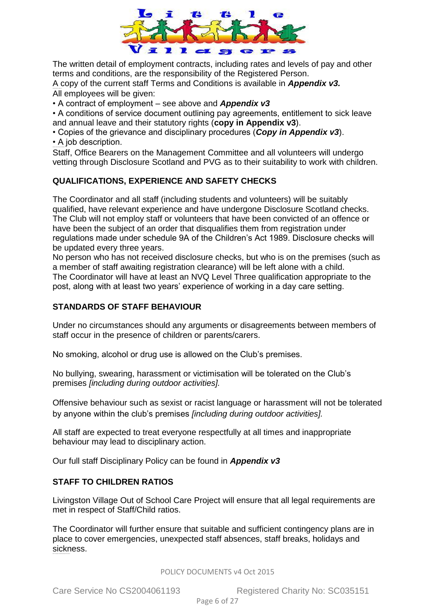

The written detail of employment contracts, including rates and levels of pay and other terms and conditions, are the responsibility of the Registered Person. A copy of the current staff Terms and Conditions is available in *Appendix v3.* All employees will be given:

• A contract of employment – see above and *Appendix v3*

• A conditions of service document outlining pay agreements, entitlement to sick leave and annual leave and their statutory rights (**copy in Appendix v3**).

• Copies of the grievance and disciplinary procedures (*Copy in Appendix v3*). • A job description.

Staff, Office Bearers on the Management Committee and all volunteers will undergo vetting through Disclosure Scotland and PVG as to their suitability to work with children.

#### **QUALIFICATIONS, EXPERIENCE AND SAFETY CHECKS**

The Coordinator and all staff (including students and volunteers) will be suitably qualified, have relevant experience and have undergone Disclosure Scotland checks. The Club will not employ staff or volunteers that have been convicted of an offence or have been the subject of an order that disqualifies them from registration under regulations made under schedule 9A of the Children's Act 1989. Disclosure checks will be updated every three years.

No person who has not received disclosure checks, but who is on the premises (such as a member of staff awaiting registration clearance) will be left alone with a child. The Coordinator will have at least an NVQ Level Three qualification appropriate to the post, along with at least two years' experience of working in a day care setting.

#### <span id="page-5-0"></span>**STANDARDS OF STAFF BEHAVIOUR**

Under no circumstances should any arguments or disagreements between members of staff occur in the presence of children or parents/carers.

No smoking, alcohol or drug use is allowed on the Club's premises.

No bullying, swearing, harassment or victimisation will be tolerated on the Club's premises *[including during outdoor activities].*

Offensive behaviour such as sexist or racist language or harassment will not be tolerated by anyone within the club's premises *[including during outdoor activities].* 

All staff are expected to treat everyone respectfully at all times and inappropriate behaviour may lead to disciplinary action.

Our full staff Disciplinary Policy can be found in *Appendix v3*

#### **STAFF TO CHILDREN RATIOS**

Livingston Village Out of School Care Project will ensure that all legal requirements are met in respect of Staff/Child ratios.

The Coordinator will further ensure that suitable and sufficient contingency plans are in place to cover emergencies, unexpected staff absences, staff breaks, holidays and sickness.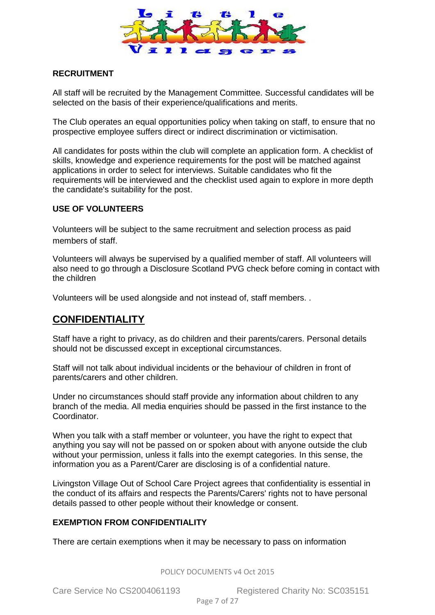

### **RECRUITMENT**

All staff will be recruited by the Management Committee. Successful candidates will be selected on the basis of their experience/qualifications and merits.

The Club operates an equal opportunities policy when taking on staff, to ensure that no prospective employee suffers direct or indirect discrimination or victimisation.

All candidates for posts within the club will complete an application form. A checklist of skills, knowledge and experience requirements for the post will be matched against applications in order to select for interviews. Suitable candidates who fit the requirements will be interviewed and the checklist used again to explore in more depth the candidate's suitability for the post.

#### **USE OF VOLUNTEERS**

Volunteers will be subject to the same recruitment and selection process as paid members of staff.

Volunteers will always be supervised by a qualified member of staff. All volunteers will also need to go through a Disclosure Scotland PVG check before coming in contact with the children

Volunteers will be used alongside and not instead of, staff members. .

### <span id="page-6-0"></span>**CONFIDENTIALITY**

Staff have a right to privacy, as do children and their parents/carers. Personal details should not be discussed except in exceptional circumstances.

Staff will not talk about individual incidents or the behaviour of children in front of parents/carers and other children.

Under no circumstances should staff provide any information about children to any branch of the media. All media enquiries should be passed in the first instance to the Coordinator.

When you talk with a staff member or volunteer, you have the right to expect that anything you say will not be passed on or spoken about with anyone outside the club without your permission, unless it falls into the exempt categories. In this sense, the information you as a Parent/Carer are disclosing is of a confidential nature.

Livingston Village Out of School Care Project agrees that confidentiality is essential in the conduct of its affairs and respects the Parents/Carers' rights not to have personal details passed to other people without their knowledge or consent.

### **EXEMPTION FROM CONFIDENTIALITY**

There are certain exemptions when it may be necessary to pass on information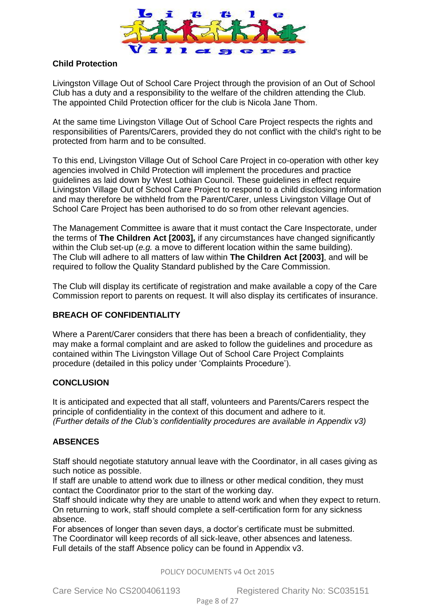

#### **Child Protection**

Livingston Village Out of School Care Project through the provision of an Out of School Club has a duty and a responsibility to the welfare of the children attending the Club. The appointed Child Protection officer for the club is Nicola Jane Thom.

At the same time Livingston Village Out of School Care Project respects the rights and responsibilities of Parents/Carers, provided they do not conflict with the child's right to be protected from harm and to be consulted.

To this end, Livingston Village Out of School Care Project in co-operation with other key agencies involved in Child Protection will implement the procedures and practice guidelines as laid down by West Lothian Council. These guidelines in effect require Livingston Village Out of School Care Project to respond to a child disclosing information and may therefore be withheld from the Parent/Carer, unless Livingston Village Out of School Care Project has been authorised to do so from other relevant agencies.

The Management Committee is aware that it must contact the Care Inspectorate, under the terms of **The Children Act [2003],** if any circumstances have changed significantly within the Club set-up (*e.g.* a move to different location within the same building). The Club will adhere to all matters of law within **The Children Act [2003]**, and will be required to follow the Quality Standard published by the Care Commission.

The Club will display its certificate of registration and make available a copy of the Care Commission report to parents on request. It will also display its certificates of insurance.

#### **BREACH OF CONFIDENTIALITY**

Where a Parent/Carer considers that there has been a breach of confidentiality, they may make a formal complaint and are asked to follow the guidelines and procedure as contained within The Livingston Village Out of School Care Project Complaints procedure (detailed in this policy under 'Complaints Procedure').

#### **CONCLUSION**

It is anticipated and expected that all staff, volunteers and Parents/Carers respect the principle of confidentiality in the context of this document and adhere to it. *(Further details of the Club's confidentiality procedures are available in Appendix v3)* 

#### **ABSENCES**

Staff should negotiate statutory annual leave with the Coordinator, in all cases giving as such notice as possible.

If staff are unable to attend work due to illness or other medical condition, they must contact the Coordinator prior to the start of the working day.

Staff should indicate why they are unable to attend work and when they expect to return. On returning to work, staff should complete a self-certification form for any sickness absence.

For absences of longer than seven days, a doctor's certificate must be submitted. The Coordinator will keep records of all sick-leave, other absences and lateness. Full details of the staff Absence policy can be found in Appendix v3.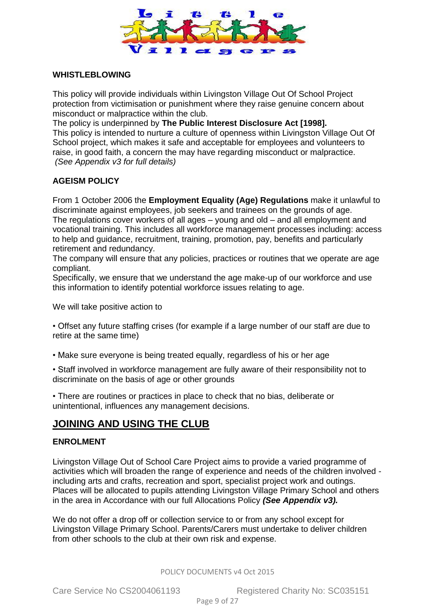

#### <span id="page-8-0"></span>**WHISTLEBLOWING**

This policy will provide individuals within Livingston Village Out Of School Project protection from victimisation or punishment where they raise genuine concern about misconduct or malpractice within the club.

The policy is underpinned by **The Public Interest Disclosure Act [1998].**

This policy is intended to nurture a culture of openness within Livingston Village Out Of School project, which makes it safe and acceptable for employees and volunteers to raise, in good faith, a concern the may have regarding misconduct or malpractice. *(See Appendix v3 for full details)* 

#### **AGEISM POLICY**

From 1 October 2006 the **Employment Equality (Age) Regulations** make it unlawful to discriminate against employees, job seekers and trainees on the grounds of age. The regulations cover workers of all ages – young and old – and all employment and vocational training. This includes all workforce management processes including: access to help and guidance, recruitment, training, promotion, pay, benefits and particularly retirement and redundancy.

The company will ensure that any policies, practices or routines that we operate are age compliant.

Specifically, we ensure that we understand the age make-up of our workforce and use this information to identify potential workforce issues relating to age.

We will take positive action to

• Offset any future staffing crises (for example if a large number of our staff are due to retire at the same time)

• Make sure everyone is being treated equally, regardless of his or her age

• Staff involved in workforce management are fully aware of their responsibility not to discriminate on the basis of age or other grounds

• There are routines or practices in place to check that no bias, deliberate or unintentional, influences any management decisions.

### **JOINING AND USING THE CLUB**

#### <span id="page-8-1"></span>**ENROLMENT**

Livingston Village Out of School Care Project aims to provide a varied programme of activities which will broaden the range of experience and needs of the children involved including arts and crafts, recreation and sport, specialist project work and outings. Places will be allocated to pupils attending Livingston Village Primary School and others in the area in Accordance with our full Allocations Policy *(See Appendix v3).*

We do not offer a drop off or collection service to or from any school except for Livingston Village Primary School. Parents/Carers must undertake to deliver children from other schools to the club at their own risk and expense.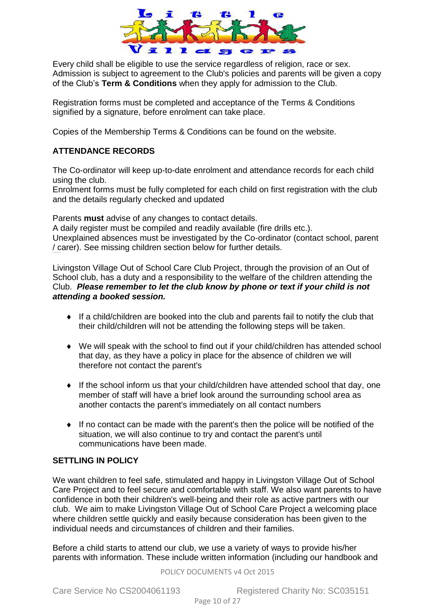

Every child shall be eligible to use the service regardless of religion, race or sex. Admission is subject to agreement to the Club's policies and parents will be given a copy of the Club's **Term & Conditions** when they apply for admission to the Club.

Registration forms must be completed and acceptance of the Terms & Conditions signified by a signature, before enrolment can take place.

Copies of the Membership Terms & Conditions can be found on the website.

#### **ATTENDANCE RECORDS**

CHILD ABSENCE POLICY

The Co-ordinator will keep up-to-date enrolment and attendance records for each child using the club.

Enrolment forms must be fully completed for each child on first registration with the club and the details regularly checked and updated

Parents **must** advise of any changes to contact details.

A daily register must be compiled and readily available (fire drills etc.). Unexplained absences must be investigated by the Co-ordinator (contact school, parent / carer). See missing children section below for further details.

Livingston Village Out of School Care Club Project, through the provision of an Out of School club, has a duty and a responsibility to the welfare of the children attending the Club. *Please remember to let the club know by phone or text if your child is not attending a booked session.*

- If a child/children are booked into the club and parents fail to notify the club that their child/children will not be attending the following steps will be taken.
- We will speak with the school to find out if your child/children has attended school that day, as they have a policy in place for the absence of children we will therefore not contact the parent's
- If the school inform us that your child/children have attended school that day, one member of staff will have a brief look around the surrounding school area as another contacts the parent's immediately on all contact numbers
- If no contact can be made with the parent's then the police will be notified of the situation, we will also continue to try and contact the parent's until communications have been made.

#### **SETTLING IN POLICY**

We want children to feel safe, stimulated and happy in Livingston Village Out of School Care Project and to feel secure and comfortable with staff. We also want parents to have confidence in both their children's well-being and their role as active partners with our club. We aim to make Livingston Village Out of School Care Project a welcoming place where children settle quickly and easily because consideration has been given to the individual needs and circumstances of children and their families.

Before a child starts to attend our club, we use a variety of ways to provide his/her parents with information. These include written information (including our handbook and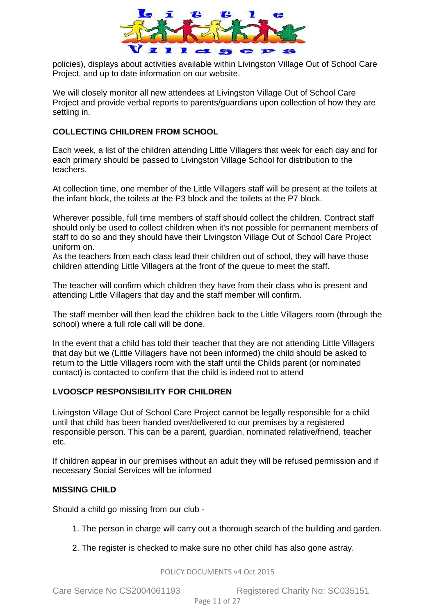

policies), displays about activities available within Livingston Village Out of School Care Project, and up to date information on our website.

We will closely monitor all new attendees at Livingston Village Out of School Care Project and provide verbal reports to parents/guardians upon collection of how they are settling in.

#### **COLLECTING CHILDREN FROM SCHOOL**

Each week, a list of the children attending Little Villagers that week for each day and for each primary should be passed to Livingston Village School for distribution to the teachers.

At collection time, one member of the Little Villagers staff will be present at the toilets at the infant block, the toilets at the P3 block and the toilets at the P7 block.

Wherever possible, full time members of staff should collect the children. Contract staff should only be used to collect children when it's not possible for permanent members of staff to do so and they should have their Livingston Village Out of School Care Project uniform on.

As the teachers from each class lead their children out of school, they will have those children attending Little Villagers at the front of the queue to meet the staff.

The teacher will confirm which children they have from their class who is present and attending Little Villagers that day and the staff member will confirm.

The staff member will then lead the children back to the Little Villagers room (through the school) where a full role call will be done.

In the event that a child has told their teacher that they are not attending Little Villagers that day but we (Little Villagers have not been informed) the child should be asked to return to the Little Villagers room with the staff until the Childs parent (or nominated contact) is contacted to confirm that the child is indeed not to attend

#### **LVOOSCP RESPONSIBILITY FOR CHILDREN**

Livingston Village Out of School Care Project cannot be legally responsible for a child until that child has been handed over/delivered to our premises by a registered responsible person. This can be a parent, guardian, nominated relative/friend, teacher etc.

If children appear in our premises without an adult they will be refused permission and if necessary Social Services will be informed

#### <span id="page-10-0"></span>**MISSING CHILD**

Should a child go missing from our club -

- 1. The person in charge will carry out a thorough search of the building and garden.
- 2. The register is checked to make sure no other child has also gone astray.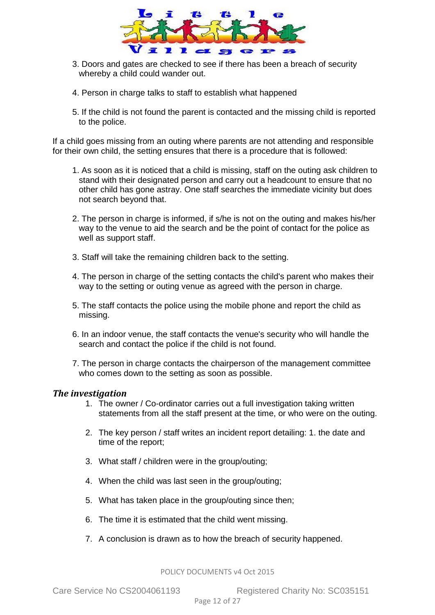

- 3. Doors and gates are checked to see if there has been a breach of security whereby a child could wander out.
- 4. Person in charge talks to staff to establish what happened
- 5. If the child is not found the parent is contacted and the missing child is reported to the police.

If a child goes missing from an outing where parents are not attending and responsible for their own child, the setting ensures that there is a procedure that is followed:

- 1. As soon as it is noticed that a child is missing, staff on the outing ask children to stand with their designated person and carry out a headcount to ensure that no other child has gone astray. One staff searches the immediate vicinity but does not search beyond that.
- 2. The person in charge is informed, if s/he is not on the outing and makes his/her way to the venue to aid the search and be the point of contact for the police as well as support staff.
- 3. Staff will take the remaining children back to the setting.
- 4. The person in charge of the setting contacts the child's parent who makes their way to the setting or outing venue as agreed with the person in charge.
- 5. The staff contacts the police using the mobile phone and report the child as missing.
- 6. In an indoor venue, the staff contacts the venue's security who will handle the search and contact the police if the child is not found.
- 7. The person in charge contacts the chairperson of the management committee who comes down to the setting as soon as possible.

#### *The investigation*

- 1. The owner / Co-ordinator carries out a full investigation taking written statements from all the staff present at the time, or who were on the outing.
- 2. The key person / staff writes an incident report detailing: 1. the date and time of the report;
- 3. What staff / children were in the group/outing;
- 4. When the child was last seen in the group/outing;
- 5. What has taken place in the group/outing since then;
- 6. The time it is estimated that the child went missing.
- 7. A conclusion is drawn as to how the breach of security happened.

POLICY DOCUMENTS v4 Oct 2015

Care Service No CS2004061193 Registered Charity No: SC035151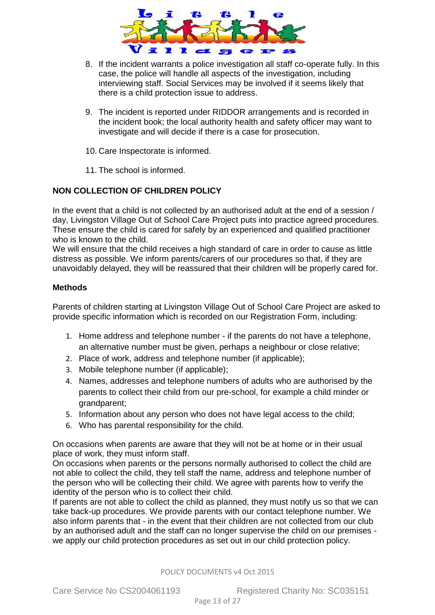

- 8. If the incident warrants a police investigation all staff co-operate fully. In this case, the police will handle all aspects of the investigation, including interviewing staff. Social Services may be involved if it seems likely that there is a child protection issue to address.
- 9. The incident is reported under RIDDOR arrangements and is recorded in the incident book; the local authority health and safety officer may want to investigate and will decide if there is a case for prosecution.
- 10. Care Inspectorate is informed.
- 11. The school is informed.

#### <span id="page-12-0"></span>**NON COLLECTION OF CHILDREN POLICY**

In the event that a child is not collected by an authorised adult at the end of a session / day, Livingston Village Out of School Care Project puts into practice agreed procedures. These ensure the child is cared for safely by an experienced and qualified practitioner who is known to the child.

We will ensure that the child receives a high standard of care in order to cause as little distress as possible. We inform parents/carers of our procedures so that, if they are unavoidably delayed, they will be reassured that their children will be properly cared for.

#### **Methods**

Parents of children starting at Livingston Village Out of School Care Project are asked to provide specific information which is recorded on our Registration Form, including:

- 1. Home address and telephone number if the parents do not have a telephone, an alternative number must be given, perhaps a neighbour or close relative;
- 2. Place of work, address and telephone number (if applicable);
- 3. Mobile telephone number (if applicable);
- 4. Names, addresses and telephone numbers of adults who are authorised by the parents to collect their child from our pre-school, for example a child minder or grandparent;
- 5. Information about any person who does not have legal access to the child;
- 6. Who has parental responsibility for the child.

On occasions when parents are aware that they will not be at home or in their usual place of work, they must inform staff.

On occasions when parents or the persons normally authorised to collect the child are not able to collect the child, they tell staff the name, address and telephone number of the person who will be collecting their child. We agree with parents how to verify the identity of the person who is to collect their child.

If parents are not able to collect the child as planned, they must notify us so that we can take back-up procedures. We provide parents with our contact telephone number. We also inform parents that - in the event that their children are not collected from our club by an authorised adult and the staff can no longer supervise the child on our premises we apply our child protection procedures as set out in our child protection policy.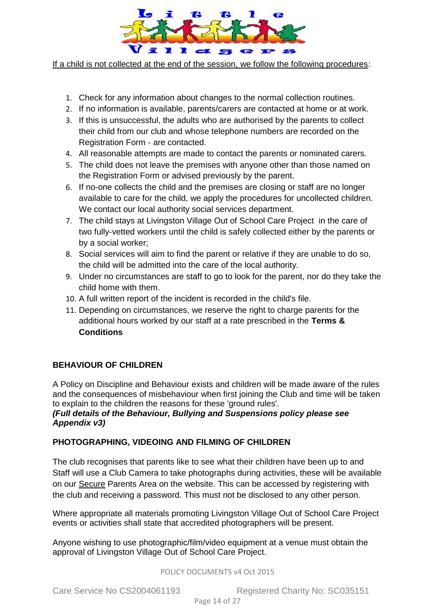

If a child is not collected at the end of the session, we follow the following procedures:

- 1. Check for any information about changes to the normal collection routines.
- 2. If no information is available, parents/carers are contacted at home or at work.
- 3. If this is unsuccessful, the adults who are authorised by the parents to collect their child from our club and whose telephone numbers are recorded on the Registration Form - are contacted.
- 4. All reasonable attempts are made to contact the parents or nominated carers.
- 5. The child does not leave the premises with anyone other than those named on the Registration Form or advised previously by the parent.
- 6. If no-one collects the child and the premises are closing or staff are no longer available to care for the child, we apply the procedures for uncollected children. We contact our local authority social services department.
- 7. The child stays at Livingston Village Out of School Care Project in the care of two fully-vetted workers until the child is safely collected either by the parents or by a social worker;
- 8. Social services will aim to find the parent or relative if they are unable to do so, the child will be admitted into the care of the local authority.
- 9. Under no circumstances are staff to go to look for the parent, nor do they take the child home with them.
- 10. A full written report of the incident is recorded in the child's file.
- 11. Depending on circumstances, we reserve the right to charge parents for the additional hours worked by our staff at a rate prescribed in the **Terms & Conditions**

### <span id="page-13-0"></span>**BEHAVIOUR OF CHILDREN**

A Policy on Discipline and Behaviour exists and children will be made aware of the rules and the consequences of misbehaviour when first joining the Club and time will be taken to explain to the children the reasons for these 'ground rules'.

#### *(Full details of the Behaviour, Bullying and Suspensions policy please see Appendix v3)*

### <span id="page-13-1"></span>**PHOTOGRAPHING, VIDEOING AND FILMING OF CHILDREN**

The club recognises that parents like to see what their children have been up to and Staff will use a Club Camera to take photographs during activities, these will be available on our Secure Parents Area on the website. This can be accessed by registering with the club and receiving a password. This must not be disclosed to any other person.

Where appropriate all materials promoting Livingston Village Out of School Care Project events or activities shall state that accredited photographers will be present.

Anyone wishing to use photographic/film/video equipment at a venue must obtain the approval of Livingston Village Out of School Care Project.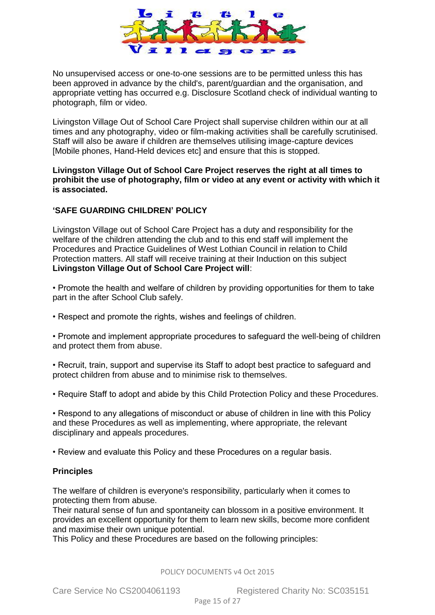

No unsupervised access or one-to-one sessions are to be permitted unless this has been approved in advance by the child's, parent/guardian and the organisation, and appropriate vetting has occurred e.g. Disclosure Scotland check of individual wanting to photograph, film or video.

Livingston Village Out of School Care Project shall supervise children within our at all times and any photography, video or film-making activities shall be carefully scrutinised. Staff will also be aware if children are themselves utilising image-capture devices [Mobile phones, Hand-Held devices etc] and ensure that this is stopped.

**Livingston Village Out of School Care Project reserves the right at all times to prohibit the use of photography, film or video at any event or activity with which it is associated.** 

#### <span id="page-14-0"></span>**'SAFE GUARDING CHILDREN' POLICY**

Livingston Village out of School Care Project has a duty and responsibility for the welfare of the children attending the club and to this end staff will implement the Procedures and Practice Guidelines of West Lothian Council in relation to Child Protection matters. All staff will receive training at their Induction on this subject **Livingston Village Out of School Care Project will**:

• Promote the health and welfare of children by providing opportunities for them to take part in the after School Club safely.

• Respect and promote the rights, wishes and feelings of children.

• Promote and implement appropriate procedures to safeguard the well-being of children and protect them from abuse.

• Recruit, train, support and supervise its Staff to adopt best practice to safeguard and protect children from abuse and to minimise risk to themselves.

• Require Staff to adopt and abide by this Child Protection Policy and these Procedures.

• Respond to any allegations of misconduct or abuse of children in line with this Policy and these Procedures as well as implementing, where appropriate, the relevant disciplinary and appeals procedures.

• Review and evaluate this Policy and these Procedures on a regular basis.

#### **Principles**

The welfare of children is everyone's responsibility, particularly when it comes to protecting them from abuse.

Their natural sense of fun and spontaneity can blossom in a positive environment. It provides an excellent opportunity for them to learn new skills, become more confident and maximise their own unique potential.

This Policy and these Procedures are based on the following principles: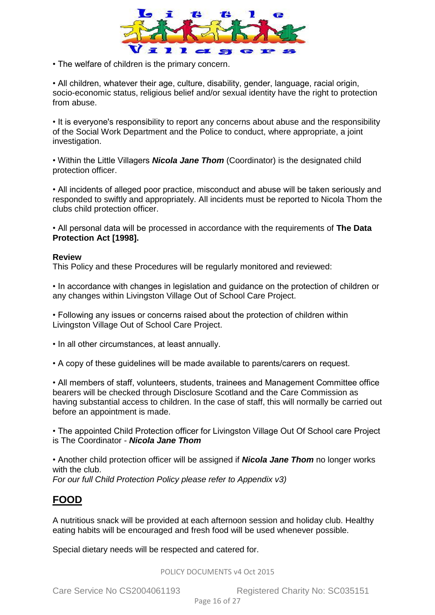

• The welfare of children is the primary concern.

• All children, whatever their age, culture, disability, gender, language, racial origin, socio-economic status, religious belief and/or sexual identity have the right to protection from abuse.

• It is everyone's responsibility to report any concerns about abuse and the responsibility of the Social Work Department and the Police to conduct, where appropriate, a joint investigation.

• Within the Little Villagers *Nicola Jane Thom* (Coordinator) is the designated child protection officer.

• All incidents of alleged poor practice, misconduct and abuse will be taken seriously and responded to swiftly and appropriately. All incidents must be reported to Nicola Thom the clubs child protection officer.

• All personal data will be processed in accordance with the requirements of **The Data Protection Act [1998].** 

#### **Review**

This Policy and these Procedures will be regularly monitored and reviewed:

• In accordance with changes in legislation and guidance on the protection of children or any changes within Livingston Village Out of School Care Project.

• Following any issues or concerns raised about the protection of children within Livingston Village Out of School Care Project.

• In all other circumstances, at least annually.

• A copy of these guidelines will be made available to parents/carers on request.

• All members of staff, volunteers, students, trainees and Management Committee office bearers will be checked through Disclosure Scotland and the Care Commission as having substantial access to children. In the case of staff, this will normally be carried out before an appointment is made.

• The appointed Child Protection officer for Livingston Village Out Of School care Project is The Coordinator - *Nicola Jane Thom*

<span id="page-15-0"></span>• Another child protection officer will be assigned if *Nicola Jane Thom* no longer works with the club. *For our full Child Protection Policy please refer to Appendix v3)* 

### **FOOD**

A nutritious snack will be provided at each afternoon session and holiday club. Healthy eating habits will be encouraged and fresh food will be used whenever possible.

Special dietary needs will be respected and catered for.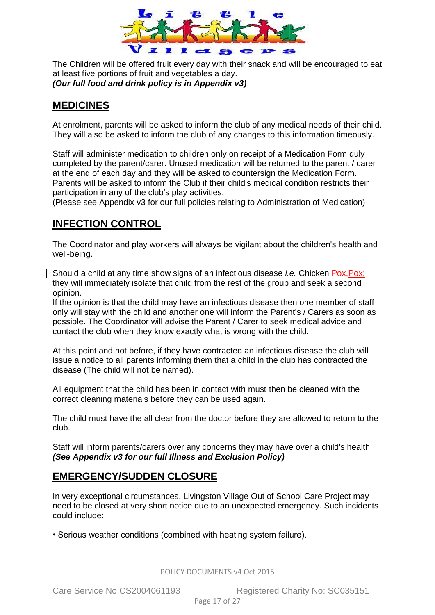

The Children will be offered fruit every day with their snack and will be encouraged to eat at least five portions of fruit and vegetables a day. *(Our full food and drink policy is in Appendix v3)* 

### <span id="page-16-0"></span>**MEDICINES**

At enrolment, parents will be asked to inform the club of any medical needs of their child. They will also be asked to inform the club of any changes to this information timeously.

Staff will administer medication to children only on receipt of a Medication Form duly completed by the parent/carer. Unused medication will be returned to the parent / carer at the end of each day and they will be asked to countersign the Medication Form. Parents will be asked to inform the Club if their child's medical condition restricts their participation in any of the club's play activities.

(Please see Appendix v3 for our full policies relating to Administration of Medication)

### <span id="page-16-1"></span>**INFECTION CONTROL**

The Coordinator and play workers will always be vigilant about the children's health and well-being.

Should a child at any time show signs of an infectious disease *i.e.* Chicken Pox, Pox; they will immediately isolate that child from the rest of the group and seek a second opinion.

If the opinion is that the child may have an infectious disease then one member of staff only will stay with the child and another one will inform the Parent's / Carers as soon as possible. The Coordinator will advise the Parent / Carer to seek medical advice and contact the club when they know exactly what is wrong with the child.

At this point and not before, if they have contracted an infectious disease the club will issue a notice to all parents informing them that a child in the club has contracted the disease (The child will not be named).

All equipment that the child has been in contact with must then be cleaned with the correct cleaning materials before they can be used again.

The child must have the all clear from the doctor before they are allowed to return to the club.

Staff will inform parents/carers over any concerns they may have over a child's health *(See Appendix v3 for our full Illness and Exclusion Policy)*

### <span id="page-16-2"></span>**EMERGENCY/SUDDEN CLOSURE**

In very exceptional circumstances, Livingston Village Out of School Care Project may need to be closed at very short notice due to an unexpected emergency. Such incidents could include:

• Serious weather conditions (combined with heating system failure).

POLICY DOCUMENTS v4 Oct 2015

Care Service No CS2004061193 Registered Charity No: SC035151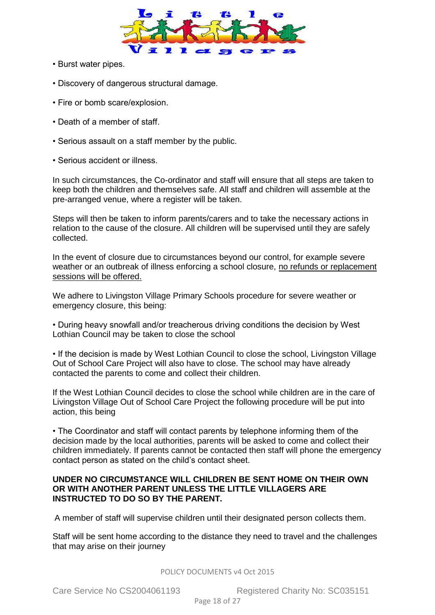

- Burst water pipes.
- Discovery of dangerous structural damage.
- Fire or bomb scare/explosion.
- Death of a member of staff.
- Serious assault on a staff member by the public.
- Serious accident or illness.

In such circumstances, the Co-ordinator and staff will ensure that all steps are taken to keep both the children and themselves safe. All staff and children will assemble at the pre-arranged venue, where a register will be taken.

Steps will then be taken to inform parents/carers and to take the necessary actions in relation to the cause of the closure. All children will be supervised until they are safely collected.

In the event of closure due to circumstances beyond our control, for example severe weather or an outbreak of illness enforcing a school closure, no refunds or replacement sessions will be offered.

We adhere to Livingston Village Primary Schools procedure for severe weather or emergency closure, this being:

• During heavy snowfall and/or treacherous driving conditions the decision by West Lothian Council may be taken to close the school

• If the decision is made by West Lothian Council to close the school, Livingston Village Out of School Care Project will also have to close. The school may have already contacted the parents to come and collect their children.

If the West Lothian Council decides to close the school while children are in the care of Livingston Village Out of School Care Project the following procedure will be put into action, this being

• The Coordinator and staff will contact parents by telephone informing them of the decision made by the local authorities, parents will be asked to come and collect their children immediately. If parents cannot be contacted then staff will phone the emergency contact person as stated on the child's contact sheet.

#### **UNDER NO CIRCUMSTANCE WILL CHILDREN BE SENT HOME ON THEIR OWN OR WITH ANOTHER PARENT UNLESS THE LITTLE VILLAGERS ARE INSTRUCTED TO DO SO BY THE PARENT.**

A member of staff will supervise children until their designated person collects them.

Staff will be sent home according to the distance they need to travel and the challenges that may arise on their journey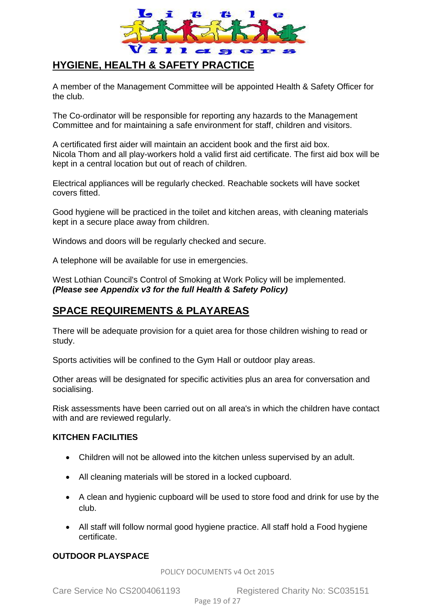

### <span id="page-18-0"></span>**HYGIENE, HEALTH & SAFETY PRACTICE**

A member of the Management Committee will be appointed Health & Safety Officer for the club.

The Co-ordinator will be responsible for reporting any hazards to the Management Committee and for maintaining a safe environment for staff, children and visitors.

A certificated first aider will maintain an accident book and the first aid box. Nicola Thom and all play-workers hold a valid first aid certificate. The first aid box will be kept in a central location but out of reach of children.

Electrical appliances will be regularly checked. Reachable sockets will have socket covers fitted.

Good hygiene will be practiced in the toilet and kitchen areas, with cleaning materials kept in a secure place away from children.

Windows and doors will be regularly checked and secure.

A telephone will be available for use in emergencies.

West Lothian Council's Control of Smoking at Work Policy will be implemented. *(Please see Appendix v3 for the full Health & Safety Policy)*

### **SPACE REQUIREMENTS & PLAYAREAS**

There will be adequate provision for a quiet area for those children wishing to read or study.

Sports activities will be confined to the Gym Hall or outdoor play areas.

Other areas will be designated for specific activities plus an area for conversation and socialising.

Risk assessments have been carried out on all area's in which the children have contact with and are reviewed regularly.

#### **KITCHEN FACILITIES**

- Children will not be allowed into the kitchen unless supervised by an adult.
- All cleaning materials will be stored in a locked cupboard.
- A clean and hygienic cupboard will be used to store food and drink for use by the club.
- All staff will follow normal good hygiene practice. All staff hold a Food hygiene certificate.

#### **OUTDOOR PLAYSPACE**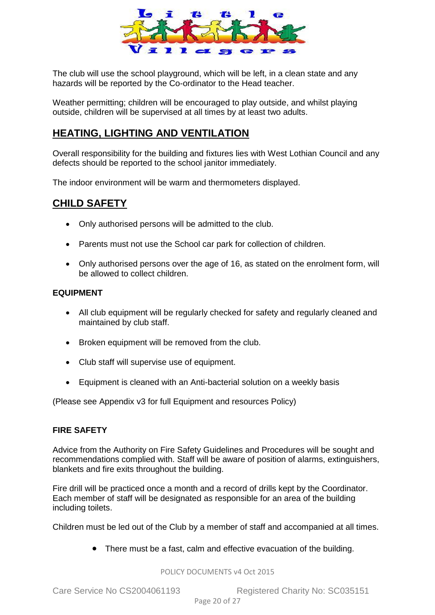

The club will use the school playground, which will be left, in a clean state and any hazards will be reported by the Co-ordinator to the Head teacher.

Weather permitting; children will be encouraged to play outside, and whilst playing outside, children will be supervised at all times by at least two adults.

### **HEATING, LIGHTING AND VENTILATION**

Overall responsibility for the building and fixtures lies with West Lothian Council and any defects should be reported to the school janitor immediately.

The indoor environment will be warm and thermometers displayed.

### <span id="page-19-0"></span>**CHILD SAFETY**

- Only authorised persons will be admitted to the club.
- Parents must not use the School car park for collection of children.
- Only authorised persons over the age of 16, as stated on the enrolment form, will be allowed to collect children.

#### **EQUIPMENT**

- All club equipment will be regularly checked for safety and regularly cleaned and maintained by club staff.
- Broken equipment will be removed from the club.
- Club staff will supervise use of equipment.
- Equipment is cleaned with an Anti-bacterial solution on a weekly basis

(Please see Appendix v3 for full Equipment and resources Policy)

#### **FIRE SAFETY**

Advice from the Authority on Fire Safety Guidelines and Procedures will be sought and recommendations complied with. Staff will be aware of position of alarms, extinguishers, blankets and fire exits throughout the building.

Fire drill will be practiced once a month and a record of drills kept by the Coordinator. Each member of staff will be designated as responsible for an area of the building including toilets.

Children must be led out of the Club by a member of staff and accompanied at all times.

There must be a fast, calm and effective evacuation of the building.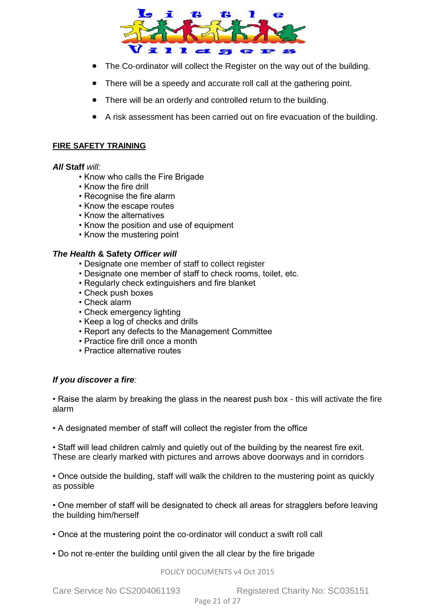

- The Co-ordinator will collect the Register on the way out of the building.
- There will be a speedy and accurate roll call at the gathering point.
- There will be an orderly and controlled return to the building.
- A risk assessment has been carried out on fire evacuation of the building.

#### **FIRE SAFETY TRAINING**

#### *All* **Staff** *will:*

- Know who calls the Fire Brigade
- Know the fire drill
- Recognise the fire alarm
- Know the escape routes
- Know the alternatives
- Know the position and use of equipment
- Know the mustering point

#### *The Health* **& Safety** *Officer will*

- Designate one member of staff to collect register
- Designate one member of staff to check rooms, toilet, etc.
- Regularly check extinguishers and fire blanket
- Check push boxes
- Check alarm
- Check emergency lighting
- Keep a log of checks and drills
- Report any defects to the Management Committee
- Practice fire drill once a month
- Practice alternative routes

#### *If you discover a fire:*

• Raise the alarm by breaking the glass in the nearest push box - this will activate the fire alarm

• A designated member of staff will collect the register from the office

• Staff will lead children calmly and quietly out of the building by the nearest fire exit. These are clearly marked with pictures and arrows above doorways and in corridors

• Once outside the building, staff will walk the children to the mustering point as quickly as possible

• One member of staff will be designated to check all areas for stragglers before leaving the building him/herself

- Once at the mustering point the co-ordinator will conduct a swift roll call
- <span id="page-20-0"></span>• Do not re-enter the building until given the all clear by the fire brigade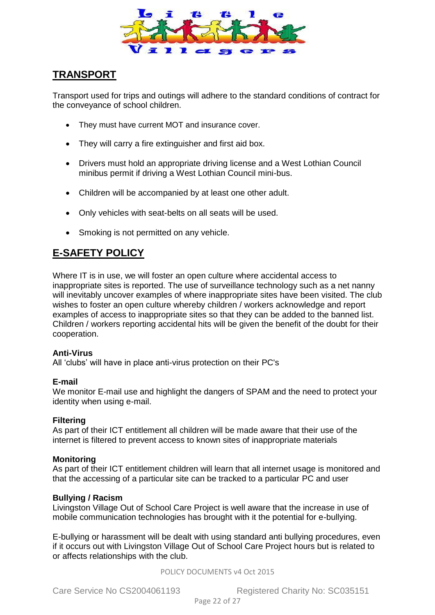

### **TRANSPORT**

Transport used for trips and outings will adhere to the standard conditions of contract for the conveyance of school children.

- They must have current MOT and insurance cover.
- They will carry a fire extinguisher and first aid box.
- Drivers must hold an appropriate driving license and a West Lothian Council minibus permit if driving a West Lothian Council mini-bus.
- Children will be accompanied by at least one other adult.
- Only vehicles with seat-belts on all seats will be used.
- Smoking is not permitted on any vehicle.

### <span id="page-21-0"></span>**E-SAFETY POLICY**

Where IT is in use, we will foster an open culture where accidental access to inappropriate sites is reported. The use of surveillance technology such as a net nanny will inevitably uncover examples of where inappropriate sites have been visited. The club wishes to foster an open culture whereby children / workers acknowledge and report examples of access to inappropriate sites so that they can be added to the banned list. Children / workers reporting accidental hits will be given the benefit of the doubt for their cooperation.

#### **Anti-Virus**

All 'clubs' will have in place anti-virus protection on their PC's

#### **E-mail**

We monitor E-mail use and highlight the dangers of SPAM and the need to protect your identity when using e-mail.

#### **Filtering**

As part of their ICT entitlement all children will be made aware that their use of the internet is filtered to prevent access to known sites of inappropriate materials

#### **Monitoring**

As part of their ICT entitlement children will learn that all internet usage is monitored and that the accessing of a particular site can be tracked to a particular PC and user

### **Bullying / Racism**

Livingston Village Out of School Care Project is well aware that the increase in use of mobile communication technologies has brought with it the potential for e-bullying.

E-bullying or harassment will be dealt with using standard anti bullying procedures, even if it occurs out with Livingston Village Out of School Care Project hours but is related to or affects relationships with the club.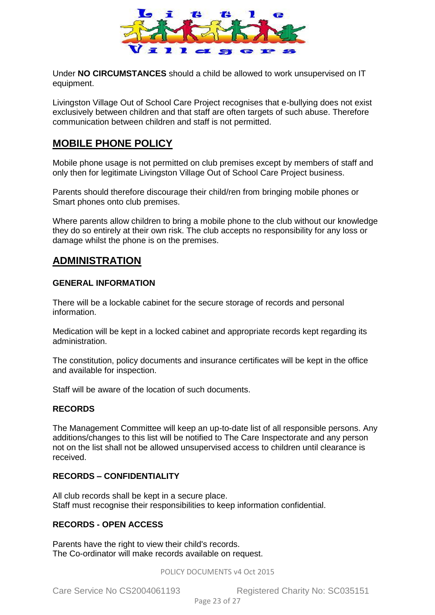

Under **NO CIRCUMSTANCES** should a child be allowed to work unsupervised on IT equipment.

Livingston Village Out of School Care Project recognises that e-bullying does not exist exclusively between children and that staff are often targets of such abuse. Therefore communication between children and staff is not permitted.

### <span id="page-22-0"></span>**MOBILE PHONE POLICY**

Mobile phone usage is not permitted on club premises except by members of staff and only then for legitimate Livingston Village Out of School Care Project business.

Parents should therefore discourage their child/ren from bringing mobile phones or Smart phones onto club premises.

Where parents allow children to bring a mobile phone to the club without our knowledge they do so entirely at their own risk. The club accepts no responsibility for any loss or damage whilst the phone is on the premises.

### <span id="page-22-1"></span>**ADMINISTRATION**

#### **GENERAL INFORMATION**

There will be a lockable cabinet for the secure storage of records and personal information.

Medication will be kept in a locked cabinet and appropriate records kept regarding its administration.

The constitution, policy documents and insurance certificates will be kept in the office and available for inspection.

Staff will be aware of the location of such documents.

#### **RECORDS**

The Management Committee will keep an up-to-date list of all responsible persons. Any additions/changes to this list will be notified to The Care Inspectorate and any person not on the list shall not be allowed unsupervised access to children until clearance is received.

#### **RECORDS – CONFIDENTIALITY**

All club records shall be kept in a secure place. Staff must recognise their responsibilities to keep information confidential.

#### **RECORDS - OPEN ACCESS**

Parents have the right to view their child's records. The Co-ordinator will make records available on request.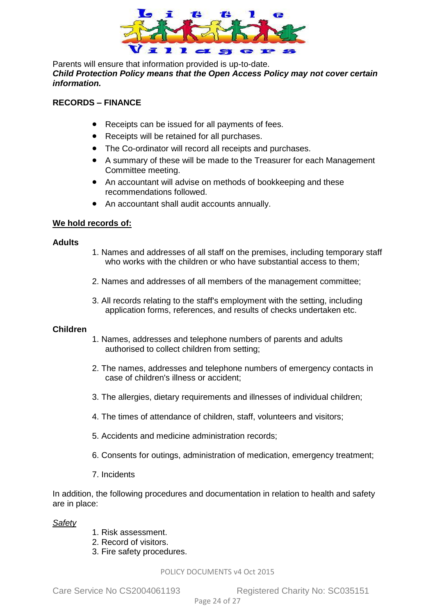

Parents will ensure that information provided is up-to-date. *Child Protection Policy means that the Open Access Policy may not cover certain information.*

#### **RECORDS – FINANCE**

- Receipts can be issued for all payments of fees.
- Receipts will be retained for all purchases.
- The Co-ordinator will record all receipts and purchases.
- A summary of these will be made to the Treasurer for each Management Committee meeting.
- An accountant will advise on methods of bookkeeping and these recommendations followed.
- An accountant shall audit accounts annually.

#### **We hold records of:**

#### **Adults**

- 1. Names and addresses of all staff on the premises, including temporary staff who works with the children or who have substantial access to them;
- 2. Names and addresses of all members of the management committee;
- 3. All records relating to the staff's employment with the setting, including application forms, references, and results of checks undertaken etc.

#### **Children**

- 1. Names, addresses and telephone numbers of parents and adults authorised to collect children from setting;
- 2. The names, addresses and telephone numbers of emergency contacts in case of children's illness or accident;
- 3. The allergies, dietary requirements and illnesses of individual children;
- 4. The times of attendance of children, staff, volunteers and visitors;
- 5. Accidents and medicine administration records;
- 6. Consents for outings, administration of medication, emergency treatment;
- 7. Incidents

In addition, the following procedures and documentation in relation to health and safety are in place:

#### *Safety*

- 1. Risk assessment.
- 2. Record of visitors.
- 3. Fire safety procedures.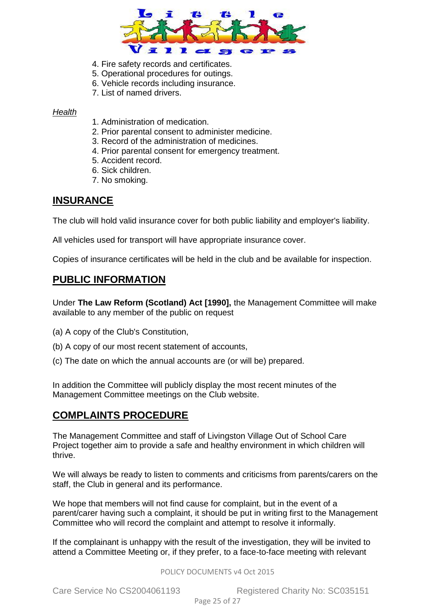

- 4. Fire safety records and certificates.
- 5. Operational procedures for outings.
- 6. Vehicle records including insurance.
- 7. List of named drivers.

#### *Health*

- 1. Administration of medication.
- 2. Prior parental consent to administer medicine.
- 3. Record of the administration of medicines.
- 4. Prior parental consent for emergency treatment.
- 5. Accident record.
- 6. Sick children.
- 7. No smoking.

### <span id="page-24-0"></span>**INSURANCE**

The club will hold valid insurance cover for both public liability and employer's liability.

All vehicles used for transport will have appropriate insurance cover.

Copies of insurance certificates will be held in the club and be available for inspection.

### <span id="page-24-1"></span>**PUBLIC INFORMATION**

Under **The Law Reform (Scotland) Act [1990],** the Management Committee will make available to any member of the public on request

- (a) A copy of the Club's Constitution,
- (b) A copy of our most recent statement of accounts,
- (c) The date on which the annual accounts are (or will be) prepared.

In addition the Committee will publicly display the most recent minutes of the Management Committee meetings on the Club website.

### <span id="page-24-2"></span>**COMPLAINTS PROCEDURE**

The Management Committee and staff of Livingston Village Out of School Care Project together aim to provide a safe and healthy environment in which children will thrive.

We will always be ready to listen to comments and criticisms from parents/carers on the staff, the Club in general and its performance.

We hope that members will not find cause for complaint, but in the event of a parent/carer having such a complaint, it should be put in writing first to the Management Committee who will record the complaint and attempt to resolve it informally.

If the complainant is unhappy with the result of the investigation, they will be invited to attend a Committee Meeting or, if they prefer, to a face-to-face meeting with relevant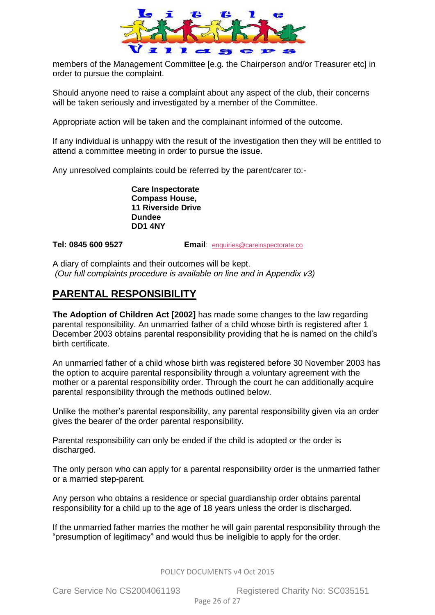

members of the Management Committee [e.g. the Chairperson and/or Treasurer etc] in order to pursue the complaint.

Should anyone need to raise a complaint about any aspect of the club, their concerns will be taken seriously and investigated by a member of the Committee.

Appropriate action will be taken and the complainant informed of the outcome.

If any individual is unhappy with the result of the investigation then they will be entitled to attend a committee meeting in order to pursue the issue.

Any unresolved complaints could be referred by the parent/carer to:-

**Care Inspectorate Compass House, 11 Riverside Drive Dundee DD1 4NY**

**Tel: 0845 600 9527 Email**: [enquiries@careinspectorate.co](mailto:enquiries@careinspectorate.com)

A diary of complaints and their outcomes will be kept. *(Our full complaints procedure is available on line and in Appendix v3)* 

### **PARENTAL RESPONSIBILITY**

**The Adoption of Children Act [2002]** has made some changes to the law regarding parental responsibility. An unmarried father of a child whose birth is registered after 1 December 2003 obtains parental responsibility providing that he is named on the child's birth certificate.

An unmarried father of a child whose birth was registered before 30 November 2003 has the option to acquire parental responsibility through a voluntary agreement with the mother or a parental responsibility order. Through the court he can additionally acquire parental responsibility through the methods outlined below.

Unlike the mother's parental responsibility, any parental responsibility given via an order gives the bearer of the order parental responsibility.

Parental responsibility can only be ended if the child is adopted or the order is discharged.

The only person who can apply for a parental responsibility order is the unmarried father or a married step-parent.

Any person who obtains a residence or special guardianship order obtains parental responsibility for a child up to the age of 18 years unless the order is discharged.

If the unmarried father marries the mother he will gain parental responsibility through the "presumption of legitimacy" and would thus be ineligible to apply for the order.